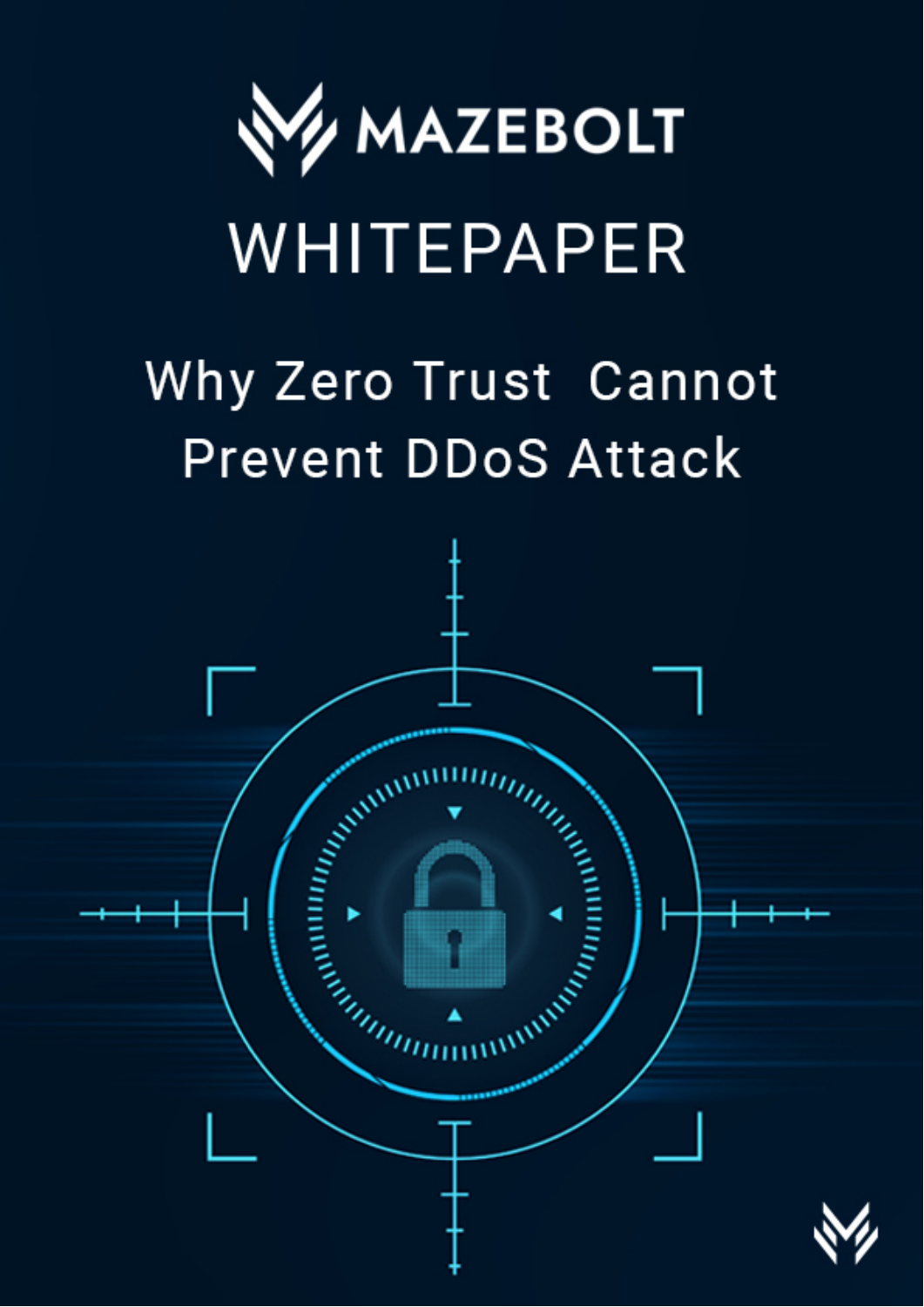

# WHITEPAPER

## Why Zero Trust Cannot **Prevent DDoS Attack**

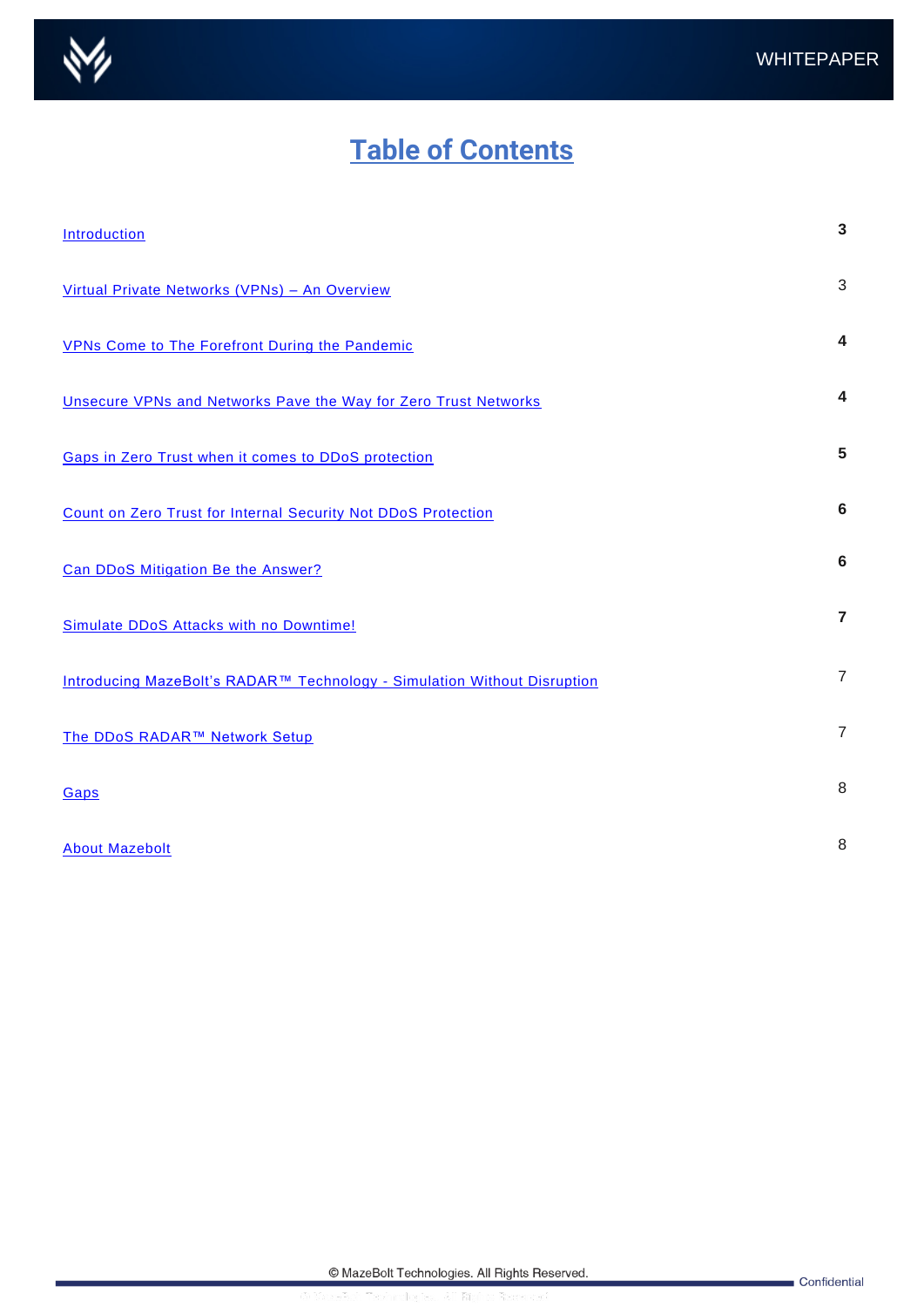

### **Table of Contents**

| <b>Introduction</b>                                                                  | 3              |
|--------------------------------------------------------------------------------------|----------------|
| Virtual Private Networks (VPNs) - An Overview                                        | 3              |
| <b>VPNs Come to The Forefront During the Pandemic</b>                                | 4              |
| Unsecure VPNs and Networks Pave the Way for Zero Trust Networks                      | 4              |
| <b>Gaps in Zero Trust when it comes to DDoS protection</b>                           | 5              |
| Count on Zero Trust for Internal Security Not DDoS Protection                        | 6              |
| Can DDoS Mitigation Be the Answer?                                                   | 6              |
| Simulate DDoS Attacks with no Downtime!                                              | $\overline{7}$ |
| Introducing MazeBolt's RADAR <sup>™</sup> Technology - Simulation Without Disruption | $\overline{7}$ |
| The DDoS RADAR™ Network Setup                                                        | $\overline{7}$ |
| Gaps                                                                                 | 8              |
| <b>About Mazebolt</b>                                                                | 8              |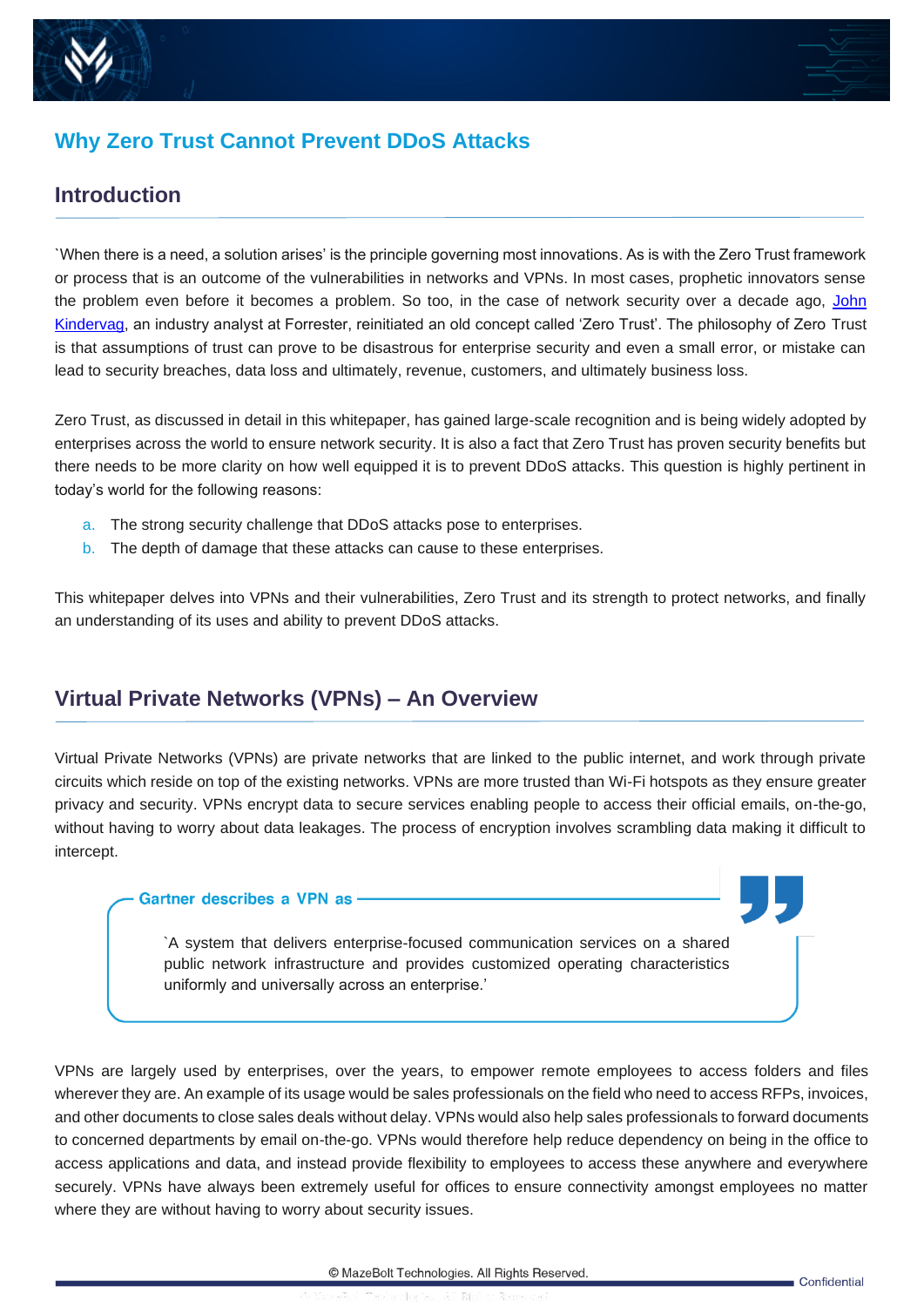



#### **Why Zero Trust Cannot Prevent DDoS Attacks**

#### <span id="page-2-0"></span>**Introduction**

`When there is a need, a solution arises' is the principle governing most innovations. As is with the Zero Trust framework or process that is an outcome of the vulnerabilities in networks and VPNs. In most cases, prophetic innovators sense the problem even before it becomes a problem. So too, in the case of network security over a decade ago, [John](https://go.forrester.com/spea)  [Kindervag,](https://go.forrester.com/spea) an industry analyst at Forrester, reinitiated an old concept called 'Zero Trust'. The philosophy of Zero Trust is that assumptions of trust can prove to be disastrous for enterprise security and even a small error, or mistake can lead to security breaches, data loss and ultimately, revenue, customers, and ultimately business loss.

Zero Trust, as discussed in detail in this whitepaper, has gained large-scale recognition and is being widely adopted by enterprises across the world to ensure network security. It is also a fact that Zero Trust has proven security benefits but there needs to be more clarity on how well equipped it is to prevent DDoS attacks. This question is highly pertinent in today's world for the following reasons:

- a. The strong security challenge that DDoS attacks pose to enterprises.
- b. The depth of damage that these attacks can cause to these enterprises.

This whitepaper delves into VPNs and their vulnerabilities, Zero Trust and its strength to protect networks, and finally an understanding of its uses and ability to prevent DDoS attacks.

#### **Virtual Private Networks (VPNs) – An Overview**

Virtual Private Networks (VPNs) are private networks that are linked to the public internet, and work through private circuits which reside on top of the existing networks. VPNs are more trusted than Wi-Fi hotspots as they ensure greater privacy and security. VPNs encrypt data to secure services enabling people to access their official emails, on-the-go, without having to worry about data leakages. The process of encryption involves scrambling data making it difficult to intercept.

#### Gartner describes a VPN as -

[`A system that delivers enterprise-focused communication services on a shared](https://www.gartner.com/en/information-technolo)  public network infrastructure and provides customized operating characteristics uniformly and universally across an enterprise.'

VPNs are largely used by enterprises, over the years, to empower remote employees to access folders and files wherever they are. An example of its usage would be sales professionals on the field who need to access RFPs, invoices, and other documents to close sales deals without delay. VPNs would also help sales professionals to forward documents to concerned departments by email on-the-go. VPNs would therefore help reduce dependency on being in the office to access applications and data, and instead provide flexibility to employees to access these anywhere and everywhere securely. VPNs have always been extremely useful for offices to ensure connectivity amongst employees no matter where they are without having to worry about security issues.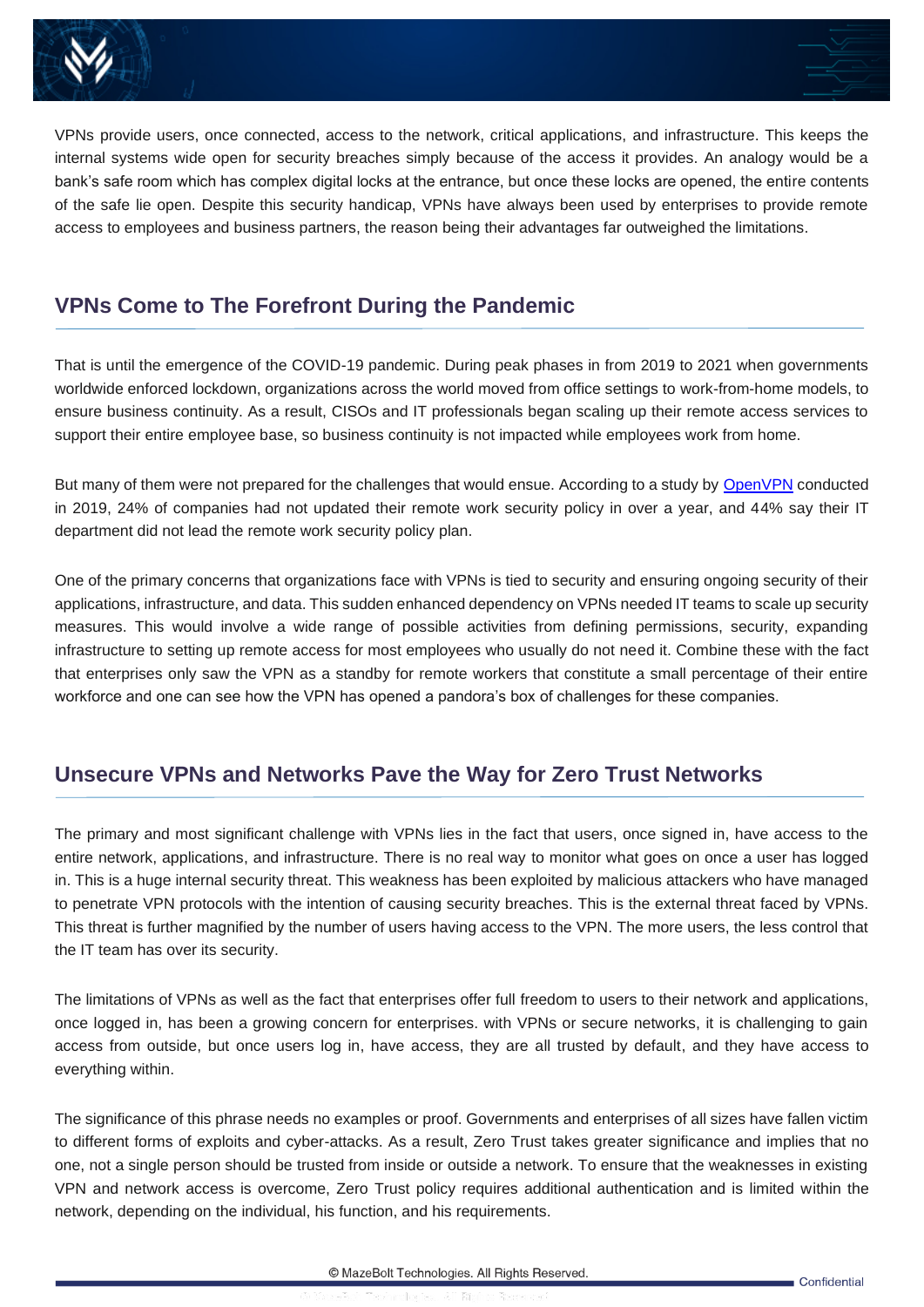



VPNs provide users, once connected, access to the network, critical applications, and infrastructure. This keeps the internal systems wide open for security breaches simply because of the access it provides. An analogy would be a bank's safe room which has complex digital locks at the entrance, but once these locks are opened, the entire contents of the safe lie open. Despite this security handicap, VPNs have always been used by enterprises to provide remote access to employees and business partners, the reason being their advantages far outweighed the limitations.

#### <span id="page-3-0"></span>**VPNs Come to The Forefront During the Pandemic**

That is until the emergence of the COVID-19 pandemic. During peak phases in from 2019 to 2021 when governments worldwide enforced lockdown, organizations across the world moved from office settings to work-from-home models, to ensure business continuity. As a result, CISOs and IT professionals began scaling up their remote access services to support their entire employee base, so business continuity is not impacted while employees work from home.

But many of them were not prepared for the challenges that would ensue. According to a study by [OpenVPN](https://openvpn.net/covid-19-fast) conducted in 2019, 24% of companies had not updated their remote work security policy in over a year, and 44% say their IT department did not lead the remote work security policy plan.

One of the primary concerns that organizations face with VPNs is tied to security and ensuring ongoing security of their applications, infrastructure, and data. This sudden enhanced dependency on VPNs needed IT teams to scale up security measures. This would involve a wide range of possible activities from defining permissions, security, expanding infrastructure to setting up remote access for most employees who usually do not need it. Combine these with the fact that enterprises only saw the VPN as a standby for remote workers that constitute a small percentage of their entire workforce and one can see how the VPN has opened a pandora's box of challenges for these companies.

#### <span id="page-3-1"></span>**Unsecure VPNs and Networks Pave the Way for Zero Trust Networks**

The primary and most significant challenge with VPNs lies in the fact that users, once signed in, have access to the entire network, applications, and infrastructure. There is no real way to monitor what goes on once a user has logged in. This is a huge internal security threat. This weakness has been exploited by malicious attackers who have managed to penetrate VPN protocols with the intention of causing security breaches. This is the external threat faced by VPNs. This threat is further magnified by the number of users having access to the VPN. The more users, the less control that the IT team has over its security.

The limitations of VPNs as well as the fact that enterprises offer full freedom to users to their network and applications, once logged in, has been a growing concern for enterprises. with VPNs or secure networks, it is challenging to gain access from outside, but once users log in, have access, they are all trusted by default, and they have access to everything within.

The significance of this phrase needs no examples or proof. Governments and enterprises of all sizes have fallen victim to different forms of exploits and cyber-attacks. As a result, Zero Trust takes greater significance and implies that no one, not a single person should be trusted from inside or outside a network. To ensure that the weaknesses in existing VPN and network access is overcome, Zero Trust policy requires additional authentication and is limited within the network, depending on the individual, his function, and his requirements.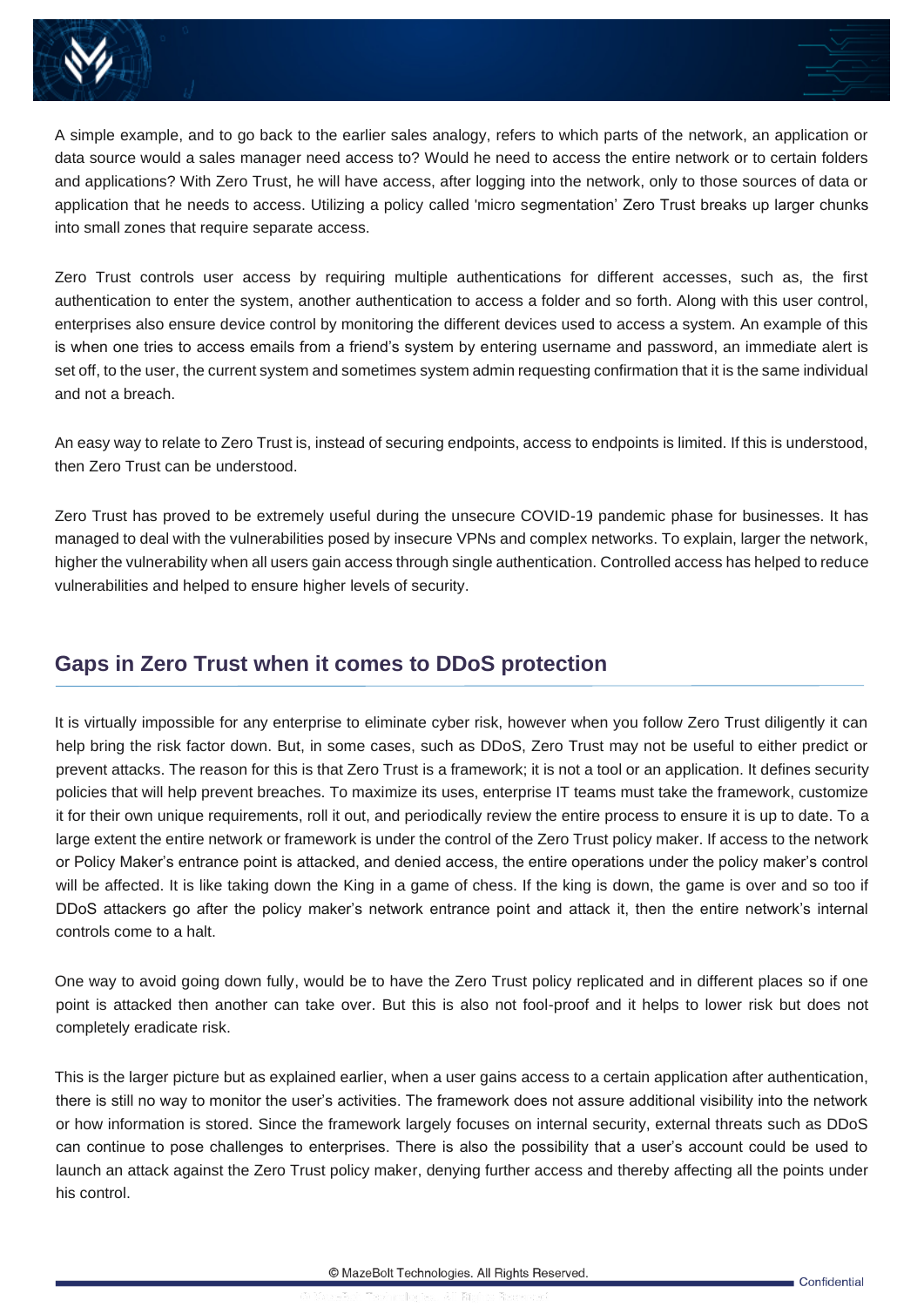



A simple example, and to go back to the earlier sales analogy, refers to which parts of the network, an application or data source would a sales manager need access to? Would he need to access the entire network or to certain folders and applications? With Zero Trust, he will have access, after logging into the network, only to those sources of data or application that he needs to access. Utilizing a policy called 'micro segmentation' Zero Trust breaks up larger chunks into small zones that require separate access.

Zero Trust controls user access by requiring multiple authentications for different accesses, such as, the first authentication to enter the system, another authentication to access a folder and so forth. Along with this user control, enterprises also ensure device control by monitoring the different devices used to access a system. An example of this is when one tries to access emails from a friend's system by entering username and password, an immediate alert is set off, to the user, the current system and sometimes system admin requesting confirmation that it is the same individual and not a breach.

An easy way to relate to Zero Trust is, instead of securing endpoints, access to endpoints is limited. If this is understood, then Zero Trust can be understood.

Zero Trust has proved to be extremely useful during the unsecure COVID-19 pandemic phase for businesses. It has managed to deal with the vulnerabilities posed by insecure VPNs and complex networks. To explain, larger the network, higher the vulnerability when all users gain access through single authentication. Controlled access has helped to reduce vulnerabilities and helped to ensure higher levels of security.

#### <span id="page-4-0"></span>**Gaps in Zero Trust when it comes to DDoS protection**

It is virtually impossible for any enterprise to eliminate cyber risk, however when you follow Zero Trust diligently it can help bring the risk factor down. But, in some cases, such as DDoS, Zero Trust may not be useful to either predict or prevent attacks. The reason for this is that Zero Trust is a framework; it is not a tool or an application. It defines security policies that will help prevent breaches. To maximize its uses, enterprise IT teams must take the framework, customize it for their own unique requirements, roll it out, and periodically review the entire process to ensure it is up to date. To a large extent the entire network or framework is under the control of the Zero Trust policy maker. If access to the network or Policy Maker's entrance point is attacked, and denied access, the entire operations under the policy maker's control will be affected. It is like taking down the King in a game of chess. If the king is down, the game is over and so too if DDoS attackers go after the policy maker's network entrance point and attack it, then the entire network's internal controls come to a halt.

One way to avoid going down fully, would be to have the Zero Trust policy replicated and in different places so if one point is attacked then another can take over. But this is also not fool-proof and it helps to lower risk but does not completely eradicate risk.

This is the larger picture but as explained earlier, when a user gains access to a certain application after authentication, there is still no way to monitor the user's activities. The framework does not assure additional visibility into the network or how information is stored. Since the framework largely focuses on internal security, external threats such as DDoS can continue to pose challenges to enterprises. There is also the possibility that a user's account could be used to launch an attack against the Zero Trust policy maker, denying further access and thereby affecting all the points under his control.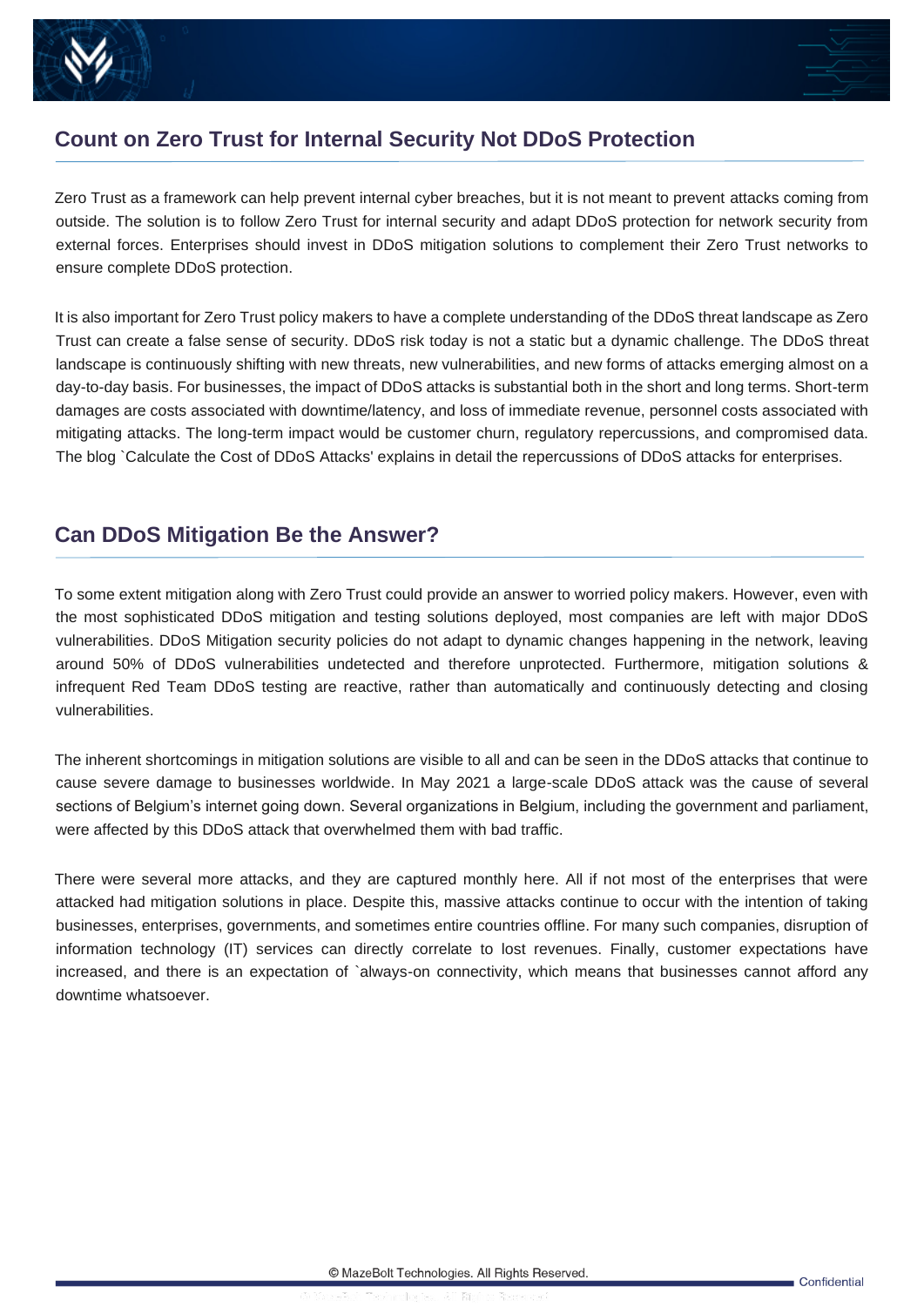



#### <span id="page-5-0"></span>**Count on Zero Trust for Internal Security Not DDoS Protection**

Zero Trust as a framework can help prevent internal cyber breaches, but it is not meant to prevent attacks coming from outside. The solution is to follow Zero Trust for internal security and adapt DDoS protection for network security from external forces. Enterprises should invest in DDoS mitigation solutions to complement their Zero Trust networks to ensure complete DDoS protection.

It is also important for Zero Trust policy makers to have a complete understanding of the DDoS threat landscape as Zero Trust can create a false sense of security. DDoS risk today is not a static but a dynamic challenge. The DDoS threat landscape is continuously shifting with new threats, new vulnerabilities, and new forms of attacks emerging almost on a day-to-day basis. For businesses, the impact of DDoS attacks is substantial both in the short and long terms. Short-term damages are costs associated with downtime/latency, and loss of immediate revenue, personnel costs associated with mitigating attacks. The long-term impact would be customer churn, regulatory repercussions, and compromised data. The blog `Calculate the Cost of DDoS Attacks' explains in detail the repercussions of DDoS attacks for enterprises.

#### <span id="page-5-1"></span>**Can DDoS Mitigation Be the Answer?**

To some extent mitigation along with Zero Trust could provide an answer to worried policy makers. However, even with the most sophisticated DDoS mitigation and testing solutions deployed, most companies are left with major DDoS vulnerabilities. DDoS Mitigation security policies do not adapt to dynamic changes happening in the network, leaving around 50% of DDoS vulnerabilities undetected and therefore unprotected. Furthermore, mitigation solutions & infrequent Red Team DDoS testing are reactive, rather than automatically and continuously detecting and closing vulnerabilities.

The inherent shortcomings in mitigation solutions are visible to all and can be seen in the DDoS attacks that continue to cause severe damage to businesses worldwide. In May 2021 a large-scale DDoS attack was the cause of several sections of Belgium's internet going down. Several organizations in Belgium, including the government and parliament, were affected by this DDoS attack that overwhelmed them with bad traffic.

There were several more attacks, and they are captured monthly here. All if not most of the enterprises that were attacked had mitigation solutions in place. Despite this, massive attacks continue to occur with the intention of taking businesses, enterprises, governments, and sometimes entire countries offline. For many such companies, disruption of information technology (IT) services can directly correlate to lost revenues. Finally, customer expectations have increased, and there is an expectation of `always-on connectivity, which means that businesses cannot afford any downtime whatsoever.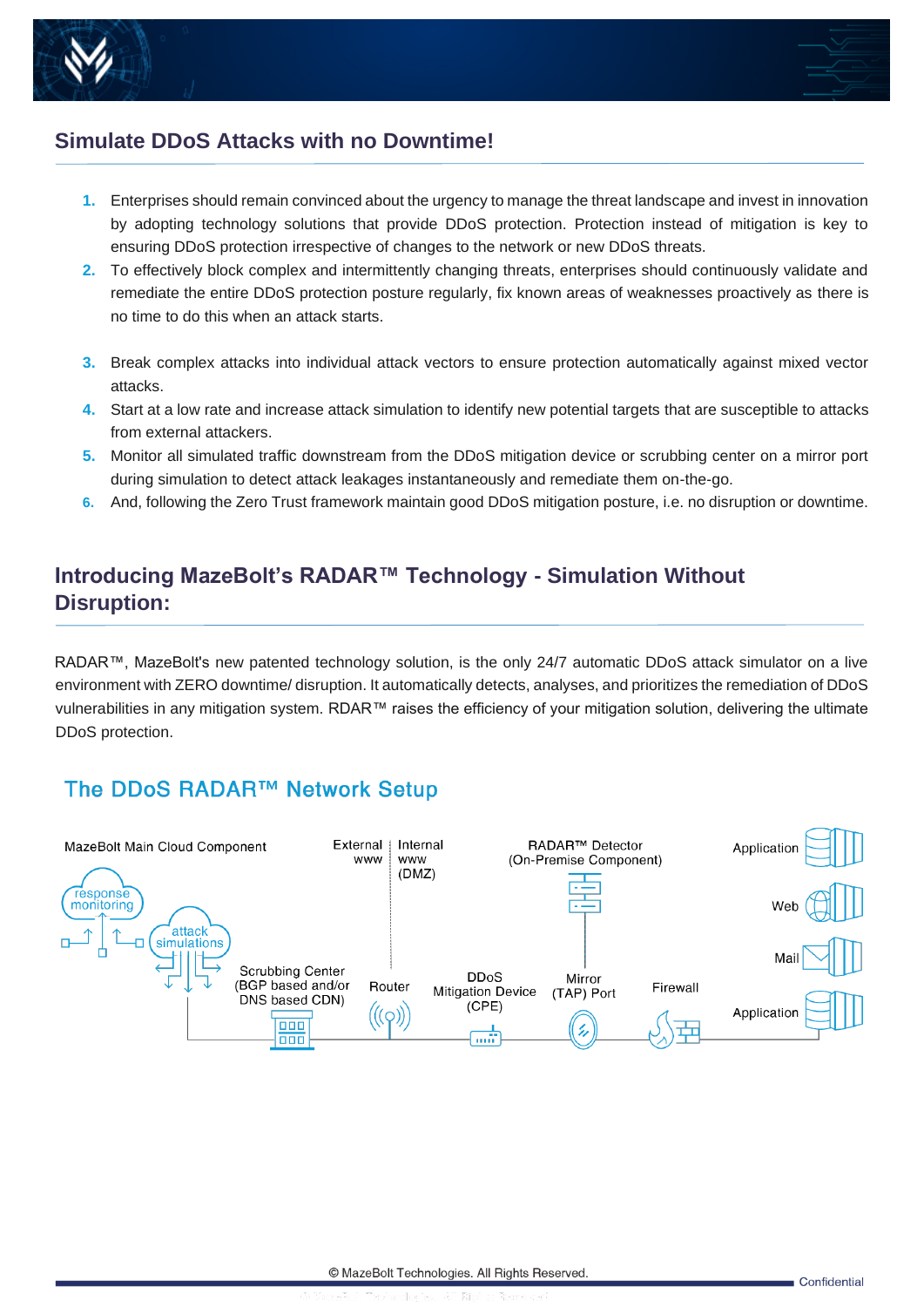



#### <span id="page-6-0"></span>**Simulate DDoS Attacks with no Downtime!**

- **1.** Enterprises should remain convinced about the urgency to manage the threat landscape and invest in innovation by adopting technology solutions that provide DDoS protection. Protection instead of mitigation is key to ensuring DDoS protection irrespective of changes to the network or new DDoS threats.
- **2.** To effectively block complex and intermittently changing threats, enterprises should continuously validate and remediate the entire DDoS protection posture regularly, fix known areas of weaknesses proactively as there is no time to do this when an attack starts.
- **3.** Break complex attacks into individual attack vectors to ensure protection automatically against mixed vector attacks.
- **4.** Start at a low rate and increase attack simulation to identify new potential targets that are susceptible to attacks from external attackers.
- **5.** Monitor all simulated traffic downstream from the DDoS mitigation device or scrubbing center on a mirror port during simulation to detect attack leakages instantaneously and remediate them on-the-go.
- **6.** And, following the Zero Trust framework maintain good DDoS mitigation posture, i.e. no disruption or downtime.

#### <span id="page-6-1"></span>**Introducing MazeBolt's RADAR™ Technology - Simulation Without Disruption:**

RADAR™, MazeBolt's new patented technology solution, is the only 24/7 automatic DDoS attack simulator on a live environment with ZERO downtime/ disruption. It automatically detects, analyses, and prioritizes the remediation of DDoS vulnerabilities in any mitigation system. RDAR™ raises the efficiency of your mitigation solution, delivering the ultimate DDoS protection.

#### <span id="page-6-2"></span>The DDoS RADAR™ Network Setup